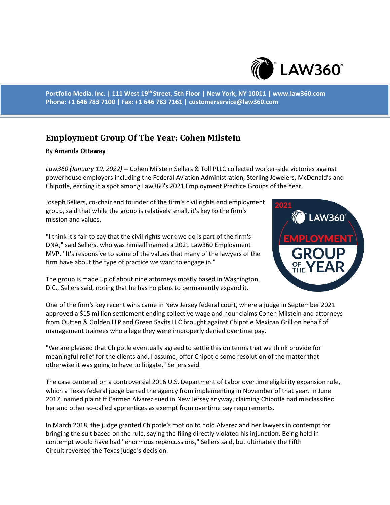

**Portfolio Media. Inc. | 111 West 19th Street, 5th Floor | New York, NY 10011 | www.law360.com Phone: +1 646 783 7100 | Fax: +1 646 783 7161 | customerservice@law360.com**

## **Employment Group Of The Year: Cohen Milstein**

## By **Amanda Ottaway**

*Law360 (January 19, 2022)* -- Cohen Milstein Sellers & Toll PLLC collected worker-side victories against powerhouse employers including the Federal Aviation Administration, Sterling Jewelers, McDonald's and Chipotle, earning it a spot among Law360's 2021 Employment Practice Groups of the Year.

Joseph Sellers, co-chair and founder of the firm's civil rights and employment group, said that while the group is relatively small, it's key to the firm's mission and values.

"I think it's fair to say that the civil rights work we do is part of the firm's DNA," said Sellers, who was himself named a 2021 Law360 Employment MVP. "It's responsive to some of the values that many of the lawyers of the firm have about the type of practice we want to engage in."



The group is made up of about nine attorneys mostly based in Washington, D.C., Sellers said, noting that he has no plans to permanently expand it.

One of the firm's key recent wins came in New Jersey federal court, where a judge in September 2021 approved a \$15 million settlement ending collective wage and hour claims Cohen Milstein and attorneys from Outten & Golden LLP and Green Savits LLC brought against Chipotle Mexican Grill on behalf of management trainees who allege they were improperly denied overtime pay.

"We are pleased that Chipotle eventually agreed to settle this on terms that we think provide for meaningful relief for the clients and, I assume, offer Chipotle some resolution of the matter that otherwise it was going to have to litigate," Sellers said.

The case centered on a controversial 2016 U.S. Department of Labor overtime eligibility expansion rule, which a Texas federal judge barred the agency from implementing in November of that year. In June 2017, named plaintiff Carmen Alvarez sued in New Jersey anyway, claiming Chipotle had misclassified her and other so-called apprentices as exempt from overtime pay requirements.

In March 2018, the judge granted Chipotle's motion to hold Alvarez and her lawyers in contempt for bringing the suit based on the rule, saying the filing directly violated his injunction. Being held in contempt would have had "enormous repercussions," Sellers said, but ultimately the Fifth Circuit reversed the Texas judge's decision.